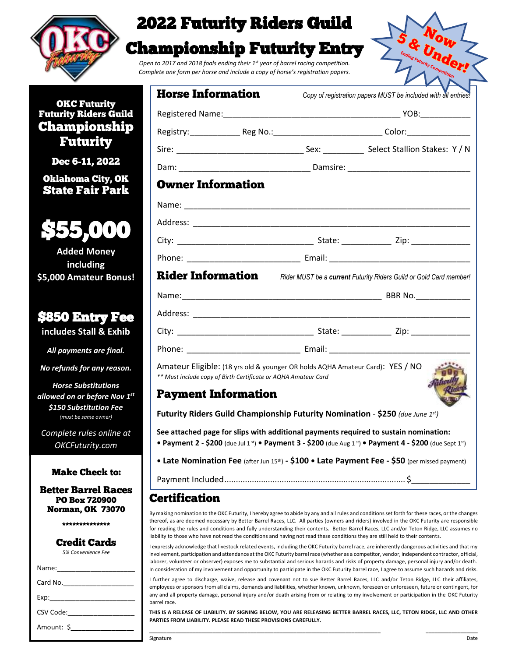

## 2022 Futurity Riders Guild

## Championship Futurity Entry

*Open to 2017 and 2018 foals ending their 1st year of barrel racing competition. Complete one form per horse and include a copy of horse's registration papers.*



### OKC Futurity Futurity Riders Guild Championship Futurity

Dec 6-11, 2022

Oklahoma City, OK State Fair Park



**Added Money including \$5,000 Amateur Bonus!**

## \$850 Entry Fee

**includes Stall & Exhib**

*All payments are final.*

*No refunds for any reason.*

*Horse Substitutions allowed on or before Nov 1 st \$150 Substitution Fee (must be same owner)*

*Complete rules online at OKCFuturity.com*

#### Make Check to:

Better Barrel Races PO Box 720900 Norman, OK 73070

\*\*\*\*\*\*\*\*\*\*\*\*\*\*

#### Credit Cards *5% Convenience Fee*

| CSV Code: ______________ |  |  |  |  |
|--------------------------|--|--|--|--|
| Amount: \$               |  |  |  |  |

| <b>Horse Information</b>                                                                                                                        |  |  | Copy of registration papers MUST be included with all entries!                                      |  |  |  |
|-------------------------------------------------------------------------------------------------------------------------------------------------|--|--|-----------------------------------------------------------------------------------------------------|--|--|--|
|                                                                                                                                                 |  |  |                                                                                                     |  |  |  |
|                                                                                                                                                 |  |  | Registry: __________________Reg No.:___________________________________Color:______________________ |  |  |  |
|                                                                                                                                                 |  |  |                                                                                                     |  |  |  |
|                                                                                                                                                 |  |  |                                                                                                     |  |  |  |
| <b>Owner Information</b>                                                                                                                        |  |  |                                                                                                     |  |  |  |
|                                                                                                                                                 |  |  |                                                                                                     |  |  |  |
|                                                                                                                                                 |  |  |                                                                                                     |  |  |  |
|                                                                                                                                                 |  |  |                                                                                                     |  |  |  |
|                                                                                                                                                 |  |  |                                                                                                     |  |  |  |
| <b>Rider Information</b> Rider MUST be a current Futurity Riders Guild or Gold Card member!                                                     |  |  |                                                                                                     |  |  |  |
|                                                                                                                                                 |  |  |                                                                                                     |  |  |  |
|                                                                                                                                                 |  |  |                                                                                                     |  |  |  |
|                                                                                                                                                 |  |  |                                                                                                     |  |  |  |
|                                                                                                                                                 |  |  |                                                                                                     |  |  |  |
| Amateur Eligible: (18 yrs old & younger OR holds AQHA Amateur Card): YES / NO<br>** Must include copy of Birth Certificate or AQHA Amateur Card |  |  |                                                                                                     |  |  |  |
| <b>Payment Information</b>                                                                                                                      |  |  |                                                                                                     |  |  |  |
| <b>Futurity Riders Guild Championship Futurity Nomination - \$250</b> (due June 1st)                                                            |  |  |                                                                                                     |  |  |  |
|                                                                                                                                                 |  |  | See attached page for slips with additional payments required to sustain nomination:                |  |  |  |

**•** Payment 2 - \$200 (due Jul 1<sup>st</sup>) • Payment 3 - \$200 (due Aug 1<sup>st</sup>) • Payment 4 - \$200 (due Sept 1<sup>st</sup>) **• Late Nomination Fee** (after Jun 15 th) **- \$100 • Late Payment Fee - \$50** (per missed payment)

Payment Included............................................................................... \$\_\_\_\_\_\_\_\_\_\_\_\_\_

### **Certification**

By making nomination to the OKC Futurity, I hereby agree to abide by any and all rules and conditions set forth for these races, or the changes thereof, as are deemed necessary by Better Barrel Races, LLC. All parties (owners and riders) involved in the OKC Futurity are responsible for reading the rules and conditions and fully understanding their contents. Better Barrel Races, LLC and/or Teton Ridge, LLC assumes no liability to those who have not read the conditions and having not read these conditions they are still held to their contents.

I expressly acknowledge that livestock related events, including the OKC Futurity barrel race, are inherently dangerous activities and that my involvement, participation and attendance at the OKC Futurity barrel race (whether as a competitor, vendor, independent contractor, official, laborer, volunteer or observer) exposes me to substantial and serious hazards and risks of property damage, personal injury and/or death. In consideration of my involvement and opportunity to participate in the OKC Futurity barrel race, I agree to assume such hazards and risks.

I further agree to discharge, waive, release and covenant not to sue Better Barrel Races, LLC and/or Teton Ridge, LLC their affiliates, employees or sponsors from all claims, demands and liabilities, whether known, unknown, foreseen or unforeseen, future or contingent, for any and all property damage, personal injury and/or death arising from or relating to my involvement or participation in the OKC Futurity barrel race.

**THIS IS A RELEASE OF LIABILITY. BY SIGNING BELOW, YOU ARE RELEASING BETTER BARREL RACES, LLC, TETON RIDGE, LLC AND OTHER PARTIES FROM LIABILITY. PLEASE READ THESE PROVISIONS CAREFULLY.** \_\_\_\_\_\_\_\_\_\_\_\_\_\_\_\_\_\_\_\_\_\_\_\_\_\_\_\_\_\_\_\_\_\_\_\_\_\_\_\_\_\_\_\_\_\_\_\_\_\_\_\_\_\_\_\_\_\_\_\_\_\_\_\_\_\_\_\_\_\_\_\_\_\_\_\_\_\_\_\_ \_\_\_\_\_\_\_\_\_\_\_\_\_\_\_\_\_\_